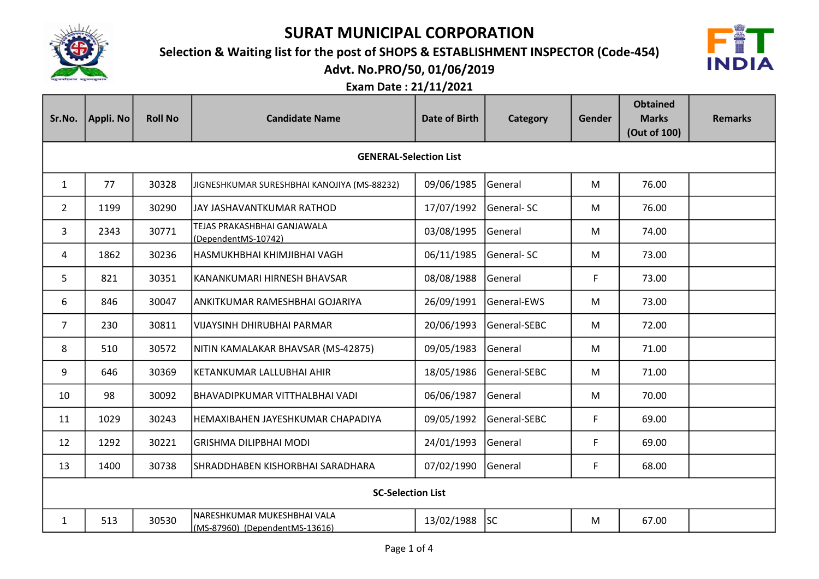

Selection & Waiting list for the post of SHOPS & ESTABLISHMENT INSPECTOR (Code-454)



Advt. No.PRO/50, 01/06/2019

| Sr.No.                   | Appli. No                     | <b>Roll No</b> | <b>Candidate Name</b>                                         | Date of Birth | Category     | Gender | <b>Obtained</b><br><b>Marks</b><br>(Out of 100) | <b>Remarks</b> |  |
|--------------------------|-------------------------------|----------------|---------------------------------------------------------------|---------------|--------------|--------|-------------------------------------------------|----------------|--|
|                          | <b>GENERAL-Selection List</b> |                |                                                               |               |              |        |                                                 |                |  |
| $\mathbf{1}$             | 77                            | 30328          | JIGNESHKUMAR SURESHBHAI KANOJIYA (MS-88232)                   | 09/06/1985    | General      | M      | 76.00                                           |                |  |
| $\overline{2}$           | 1199                          | 30290          | JAY JASHAVANTKUMAR RATHOD                                     | 17/07/1992    | General-SC   | M      | 76.00                                           |                |  |
| 3                        | 2343                          | 30771          | TEJAS PRAKASHBHAI GANJAWALA<br>(DependentMS-10742)            | 03/08/1995    | General      | M      | 74.00                                           |                |  |
| 4                        | 1862                          | 30236          | HASMUKHBHAI KHIMJIBHAI VAGH                                   | 06/11/1985    | General-SC   | M      | 73.00                                           |                |  |
| 5                        | 821                           | 30351          | KANANKUMARI HIRNESH BHAVSAR                                   | 08/08/1988    | General      | F      | 73.00                                           |                |  |
| 6                        | 846                           | 30047          | ANKITKUMAR RAMESHBHAI GOJARIYA                                | 26/09/1991    | General-EWS  | M      | 73.00                                           |                |  |
| $\overline{7}$           | 230                           | 30811          | <b>VIJAYSINH DHIRUBHAI PARMAR</b>                             | 20/06/1993    | General-SEBC | M      | 72.00                                           |                |  |
| 8                        | 510                           | 30572          | NITIN KAMALAKAR BHAVSAR (MS-42875)                            | 09/05/1983    | General      | M      | 71.00                                           |                |  |
| 9                        | 646                           | 30369          | KETANKUMAR LALLUBHAI AHIR                                     | 18/05/1986    | General-SEBC | M      | 71.00                                           |                |  |
| 10                       | 98                            | 30092          | BHAVADIPKUMAR VITTHALBHAI VADI                                | 06/06/1987    | General      | M      | 70.00                                           |                |  |
| 11                       | 1029                          | 30243          | HEMAXIBAHEN JAYESHKUMAR CHAPADIYA                             | 09/05/1992    | General-SEBC | F      | 69.00                                           |                |  |
| 12                       | 1292                          | 30221          | <b>GRISHMA DILIPBHAI MODI</b>                                 | 24/01/1993    | General      | F      | 69.00                                           |                |  |
| 13                       | 1400                          | 30738          | SHRADDHABEN KISHORBHAI SARADHARA                              | 07/02/1990    | General      | F      | 68.00                                           |                |  |
| <b>SC-Selection List</b> |                               |                |                                                               |               |              |        |                                                 |                |  |
| $\mathbf{1}$             | 513                           | 30530          | NARESHKUMAR MUKESHBHAI VALA<br>(MS-87960) (DependentMS-13616) | 13/02/1988    | <b>SC</b>    | M      | 67.00                                           |                |  |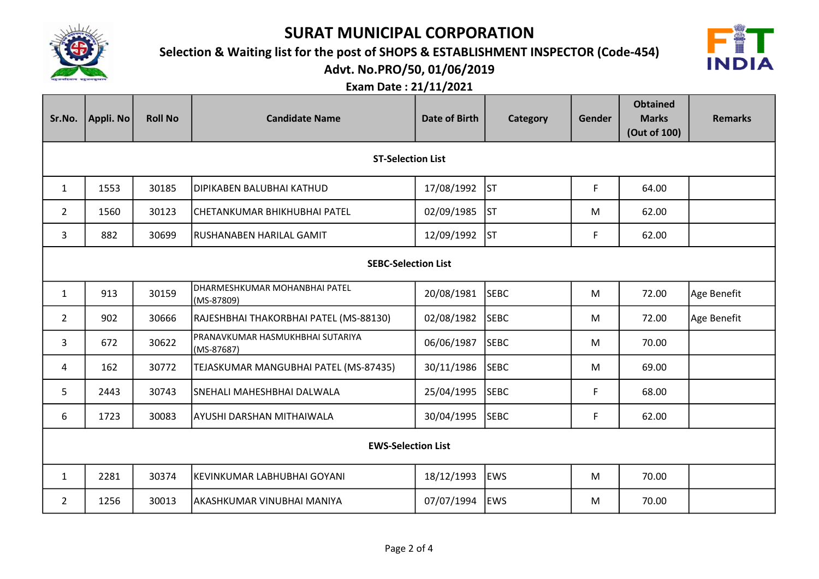

## Selection & Waiting list for the post of SHOPS & ESTABLISHMENT INSPECTOR (Code-454)



Advt. No.PRO/50, 01/06/2019

| Sr.No.                     | Appli. No | <b>Roll No</b> | <b>Candidate Name</b>                          | Date of Birth | Category    | Gender | <b>Obtained</b><br><b>Marks</b><br>(Out of 100) | <b>Remarks</b> |
|----------------------------|-----------|----------------|------------------------------------------------|---------------|-------------|--------|-------------------------------------------------|----------------|
| <b>ST-Selection List</b>   |           |                |                                                |               |             |        |                                                 |                |
| $\mathbf{1}$               | 1553      | 30185          | DIPIKABEN BALUBHAI KATHUD                      | 17/08/1992    | lsт         | F      | 64.00                                           |                |
| $\overline{2}$             | 1560      | 30123          | CHETANKUMAR BHIKHUBHAI PATEL                   | 02/09/1985    | lst         | M      | 62.00                                           |                |
| 3                          | 882       | 30699          | RUSHANABEN HARILAL GAMIT                       | 12/09/1992    | lst         | F      | 62.00                                           |                |
| <b>SEBC-Selection List</b> |           |                |                                                |               |             |        |                                                 |                |
| $\mathbf{1}$               | 913       | 30159          | DHARMESHKUMAR MOHANBHAI PATEL<br>(MS-87809)    | 20/08/1981    | <b>SEBC</b> | M      | 72.00                                           | Age Benefit    |
| $\overline{2}$             | 902       | 30666          | RAJESHBHAI THAKORBHAI PATEL (MS-88130)         | 02/08/1982    | <b>SEBC</b> | M      | 72.00                                           | Age Benefit    |
| 3                          | 672       | 30622          | PRANAVKUMAR HASMUKHBHAI SUTARIYA<br>(MS-87687) | 06/06/1987    | <b>SEBC</b> | M      | 70.00                                           |                |
| 4                          | 162       | 30772          | TEJASKUMAR MANGUBHAI PATEL (MS-87435)          | 30/11/1986    | <b>SEBC</b> | M      | 69.00                                           |                |
| 5                          | 2443      | 30743          | SNEHALI MAHESHBHAI DALWALA                     | 25/04/1995    | <b>SEBC</b> | F      | 68.00                                           |                |
| 6                          | 1723      | 30083          | AYUSHI DARSHAN MITHAIWALA                      | 30/04/1995    | <b>SEBC</b> | F      | 62.00                                           |                |
| <b>EWS-Selection List</b>  |           |                |                                                |               |             |        |                                                 |                |
| $\mathbf{1}$               | 2281      | 30374          | KEVINKUMAR LABHUBHAI GOYANI                    | 18/12/1993    | <b>EWS</b>  | M      | 70.00                                           |                |
| $\overline{2}$             | 1256      | 30013          | AKASHKUMAR VINUBHAI MANIYA                     | 07/07/1994    | <b>EWS</b>  | M      | 70.00                                           |                |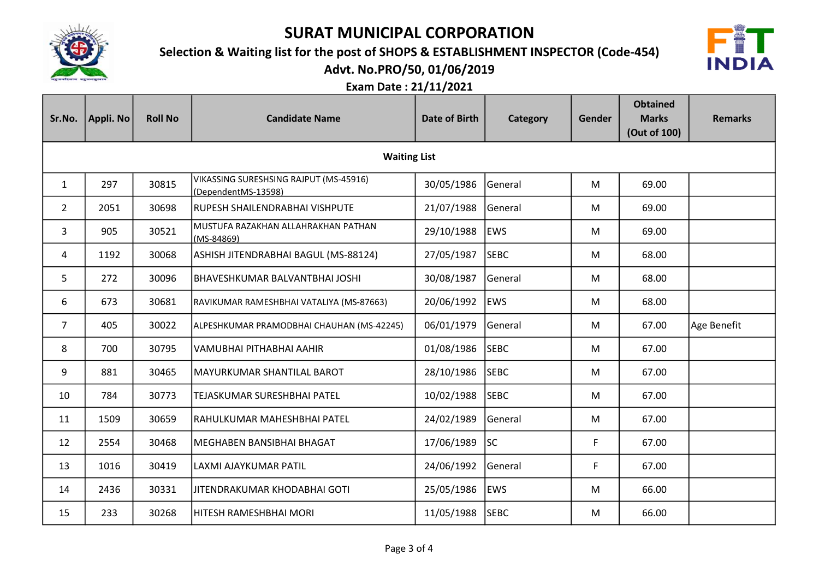

Selection & Waiting list for the post of SHOPS & ESTABLISHMENT INSPECTOR (Code-454)



Advt. No.PRO/50, 01/06/2019

| Sr.No.         | Appli. No           | <b>Roll No</b> | <b>Candidate Name</b>                                         | Date of Birth | Category    | Gender | <b>Obtained</b><br><b>Marks</b><br>(Out of 100) | <b>Remarks</b> |  |  |
|----------------|---------------------|----------------|---------------------------------------------------------------|---------------|-------------|--------|-------------------------------------------------|----------------|--|--|
|                | <b>Waiting List</b> |                |                                                               |               |             |        |                                                 |                |  |  |
| $\mathbf{1}$   | 297                 | 30815          | VIKASSING SURESHSING RAJPUT (MS-45916)<br>(DependentMS-13598) | 30/05/1986    | General     | M      | 69.00                                           |                |  |  |
| $\mathbf{2}$   | 2051                | 30698          | RUPESH SHAILENDRABHAI VISHPUTE                                | 21/07/1988    | General     | M      | 69.00                                           |                |  |  |
| 3              | 905                 | 30521          | MUSTUFA RAZAKHAN ALLAHRAKHAN PATHAN<br>$(MS-84869)$           | 29/10/1988    | <b>EWS</b>  | M      | 69.00                                           |                |  |  |
| 4              | 1192                | 30068          | ASHISH JITENDRABHAI BAGUL (MS-88124)                          | 27/05/1987    | <b>SEBC</b> | M      | 68.00                                           |                |  |  |
| 5              | 272                 | 30096          | BHAVESHKUMAR BALVANTBHAI JOSHI                                | 30/08/1987    | General     | M      | 68.00                                           |                |  |  |
| 6              | 673                 | 30681          | RAVIKUMAR RAMESHBHAI VATALIYA (MS-87663)                      | 20/06/1992    | <b>EWS</b>  | M      | 68.00                                           |                |  |  |
| $\overline{7}$ | 405                 | 30022          | ALPESHKUMAR PRAMODBHAI CHAUHAN (MS-42245)                     | 06/01/1979    | General     | M      | 67.00                                           | Age Benefit    |  |  |
| 8              | 700                 | 30795          | VAMUBHAI PITHABHAI AAHIR                                      | 01/08/1986    | <b>SEBC</b> | M      | 67.00                                           |                |  |  |
| 9              | 881                 | 30465          | MAYURKUMAR SHANTILAL BAROT                                    | 28/10/1986    | <b>SEBC</b> | M      | 67.00                                           |                |  |  |
| 10             | 784                 | 30773          | TEJASKUMAR SURESHBHAI PATEL                                   | 10/02/1988    | <b>SEBC</b> | M      | 67.00                                           |                |  |  |
| 11             | 1509                | 30659          | RAHULKUMAR MAHESHBHAI PATEL                                   | 24/02/1989    | General     | M      | 67.00                                           |                |  |  |
| 12             | 2554                | 30468          | MEGHABEN BANSIBHAI BHAGAT                                     | 17/06/1989    | <b>SC</b>   | F      | 67.00                                           |                |  |  |
| 13             | 1016                | 30419          | LAXMI AJAYKUMAR PATIL                                         | 24/06/1992    | General     | F      | 67.00                                           |                |  |  |
| 14             | 2436                | 30331          | JITENDRAKUMAR KHODABHAI GOTI                                  | 25/05/1986    | <b>EWS</b>  | M      | 66.00                                           |                |  |  |
| 15             | 233                 | 30268          | <b>HITESH RAMESHBHAI MORI</b>                                 | 11/05/1988    | <b>SEBC</b> | M      | 66.00                                           |                |  |  |